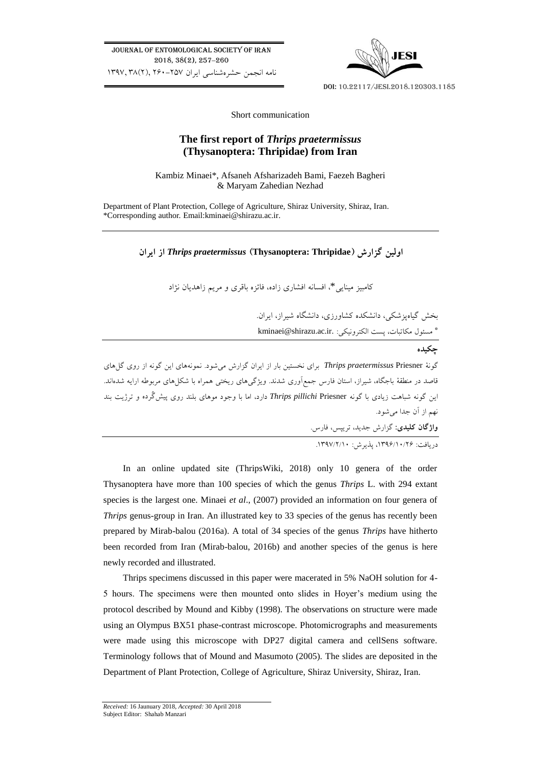Journal of Entomological Society of Iran 2018, 38(2), 257-260 نامه انجمن حشرهشناسي ايران 260-257 ,)2(38 1397,



Doi: 10.22117/jesi.2018.120303.1185

Short communication

# **The first report of** *Thrips praetermissus* **(Thysanoptera: Thripidae) from Iran**

Kambiz Minaei\*, Afsaneh Afsharizadeh Bami, Faezeh Bagheri & Maryam Zahedian Nezhad

Department of Plant Protection, College of Agriculture, Shiraz University, Shiraz, Iran. \*Corresponding author. Email[:kminaei@shirazu.ac.ir.](mailto:kminaei@shirazu.ac.ir)

**اولین گزارش )Thripidae :Thysanoptera )***praetermissus Thrips* **از ایران**

کامبیز مینايي\*، افسانه افشاری زاده، فائزه باقری و مريم زاهديان نژاد

بخش گیاهپزشکي، دانشکده کشاورزی، دانشگاه شیراز، ايران. \* مسئول مکاتبات، پست الکترونیکي: [.ir.ac.shirazu@kminaei](mailto:kminaei@shirazu.ac.ir)

**چکیده**

گونة Priesner *praetermissus Thrips* برای نخستین بار از ايران گزارش ميشود. نمونههای اين گونه از روی گلهای قاصد در منطقة باجگاه، شیراز، استان فارس جمعآوری شدند. ويژگيهای ريختي همراه با شکلهای مربوطه ارايه شدهاند. اين گونه شباهت زيادی با گونه Priesner *pillichi Thrips* دارد، اما با وجود موهای بلند روی پیشگُرده و ترژيت بند نهم از آن جدا ميشود. **واژگان کلیدی:** گزارش جديد، تريپس، فارس.

دريافت: ،1396/10/26 پذيرش: .1397/2/10

In an online updated site (ThripsWiki, 2018) only 10 genera of the order Thysanoptera have more than 100 species of which the genus *Thrips* L. with 294 extant species is the largest one. Minaei *et al*., (2007) provided an information on four genera of *Thrips* genus-group in Iran. An illustrated key to 33 species of the genus has recently been prepared by Mirab-balou (2016a). A total of 34 species of the genus *Thrips* have hitherto been recorded from Iran (Mirab-balou, 2016b) and another species of the genus is here newly recorded and illustrated.

Thrips specimens discussed in this paper were macerated in 5% NaOH solution for 4- 5 hours. The specimens were then mounted onto slides in Hoyer's medium using the protocol described by Mound and Kibby (1998). The observations on structure were made using an Olympus BX51 phase-contrast microscope. Photomicrographs and measurements were made using this microscope with DP27 digital camera and cellSens software. Terminology follows that of Mound and Masumoto (2005). The slides are deposited in the Department of Plant Protection, College of Agriculture, Shiraz University, Shiraz, Iran.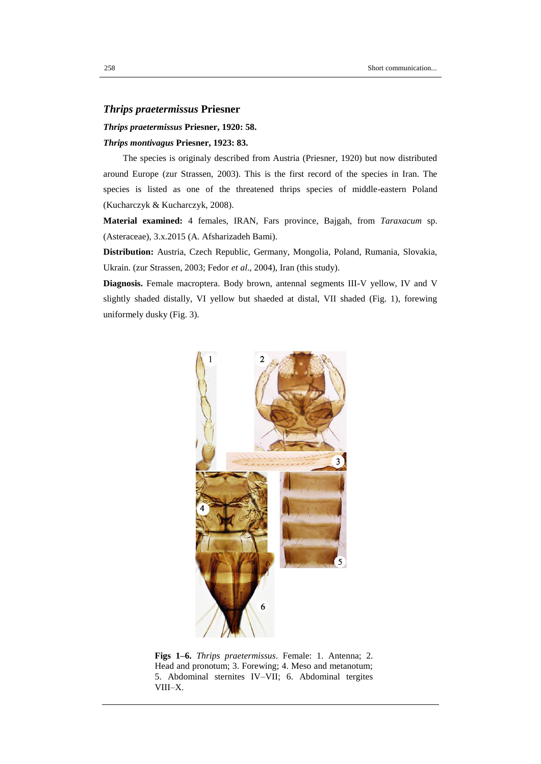## *Thrips praetermissus* **Priesner**

### *Thrips praetermissus* **Priesner, 1920: 58.**

#### *Thrips montivagus* **Priesner, 1923: 83.**

The species is originaly described from Austria (Priesner, 1920) but now distributed around Europe (zur Strassen, 2003). This is the first record of the species in Iran. The species is listed as one of the threatened thrips species of middle-eastern Poland (Kucharczyk & Kucharczyk, 2008).

**Material examined:** 4 females, IRAN, Fars province, Bajgah, from *Taraxacum* sp. (Asteraceae), 3.x.2015 (A. Afsharizadeh Bami).

**Distribution:** Austria, Czech Republic, Germany, Mongolia, Poland, Rumania, Slovakia, Ukrain. (zur Strassen, 2003; Fedor *et al*., 2004), Iran (this study).

**Diagnosis.** Female macroptera. Body brown, antennal segments III-V yellow, IV and V slightly shaded distally, VI yellow but shaeded at distal, VII shaded (Fig. 1), forewing uniformely dusky (Fig. 3).



**Figs 1–6.** *Thrips praetermissus*. Female: 1. Antenna; 2. Head and pronotum; 3. Forewing; 4. Meso and metanotum; 5. Abdominal sternites IV–VII; 6. Abdominal tergites VIII–X.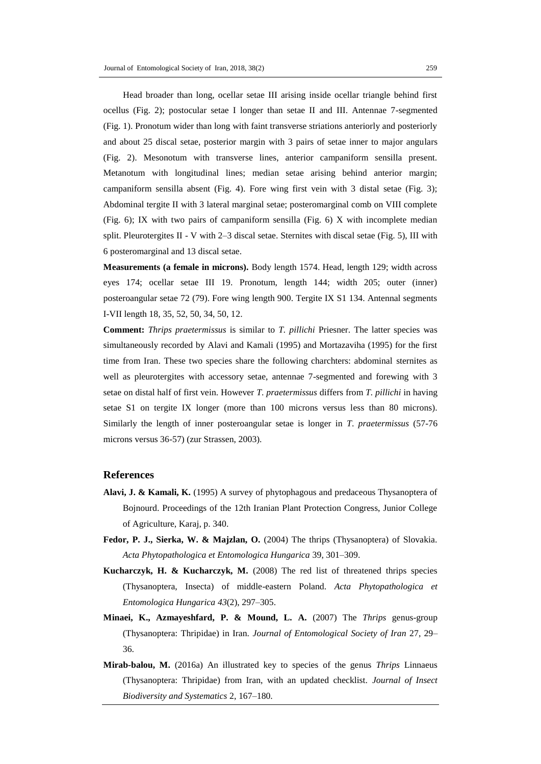Head broader than long, ocellar setae III arising inside ocellar triangle behind first ocellus (Fig. 2); postocular setae I longer than setae II and III. Antennae 7-segmented (Fig. 1). Pronotum wider than long with faint transverse striations anteriorly and posteriorly and about 25 discal setae, posterior margin with 3 pairs of setae inner to major angulars (Fig. 2). Mesonotum with transverse lines, anterior campaniform sensilla present. Metanotum with longitudinal lines; median setae arising behind anterior margin; campaniform sensilla absent (Fig. 4). Fore wing first vein with 3 distal setae (Fig. 3); Abdominal tergite II with 3 lateral marginal setae; posteromarginal comb on VIII complete (Fig. 6); IX with two pairs of campaniform sensilla (Fig. 6) X with incomplete median split. Pleurotergites II - V with  $2-3$  discal setae. Sternites with discal setae (Fig. 5), III with 6 posteromarginal and 13 discal setae.

**Measurements (a female in microns).** Body length 1574. Head, length 129; width across eyes 174; ocellar setae III 19. Pronotum, length 144; width 205; outer (inner) posteroangular setae 72 (79). Fore wing length 900. Tergite IX S1 134. Antennal segments I-VII length 18, 35, 52, 50, 34, 50, 12.

**Comment:** *Thrips praetermissus* is similar to *T. pillichi* Priesner. The latter species was simultaneously recorded by Alavi and Kamali (1995) and Mortazaviha (1995) for the first time from Iran. These two species share the following charchters: abdominal sternites as well as pleurotergites with accessory setae, antennae 7-segmented and forewing with 3 setae on distal half of first vein. However *T*. *praetermissus* differs from *T. pillichi* in having setae S1 on tergite IX longer (more than 100 microns versus less than 80 microns). Similarly the length of inner posteroangular setae is longer in *T*. *praetermissus* (57-76 microns versus 36-57) (zur Strassen, 2003).

## **References**

- **Alavi, J. & Kamali, K.** (1995) A survey of phytophagous and predaceous Thysanoptera of Bojnourd. Proceedings of the 12th Iranian Plant Protection Congress, Junior College of Agriculture, Karaj, p. 340.
- **Fedor, P. J., Sierka, W. & Majzlan, O.** (2004) The thrips (Thysanoptera) of Slovakia. *Acta Phytopathologica et Entomologica Hungarica* 39, 301–309.
- **Kucharczyk, H. & Kucharczyk, M.** (2008) The red list of threatened thrips species (Thysanoptera, Insecta) of middle-eastern Poland. *Acta Phytopathologica et Entomologica Hungarica 43*(2), 297–305.
- **Minaei, K., Azmayeshfard, P. & Mound, L. A.** (2007) The *Thrips* genus-group (Thysanoptera: Thripidae) in Iran. *Journal of Entomological Society of Iran* 27, 29– 36.
- **Mirab-balou, M.** (2016a) An illustrated key to species of the genus *Thrips* Linnaeus (Thysanoptera: Thripidae) from Iran, with an updated checklist. *Journal of Insect Biodiversity and Systematics* 2, 167–180.